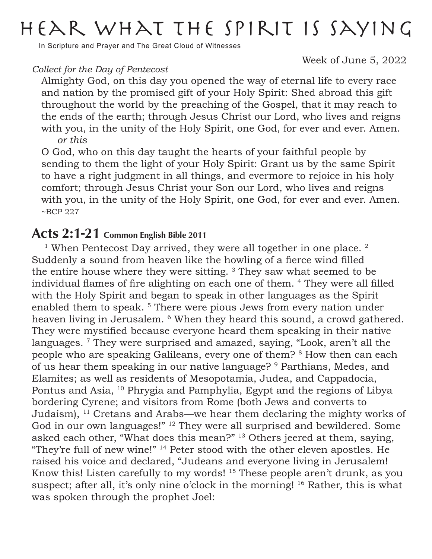## Hear what the Spirit is saying

In Scripture and Prayer and The Great Cloud of Witnesses

Week of June 5, 2022

### *Collect for the Day of Pentecost*

Almighty God, on this day you opened the way of eternal life to every race and nation by the promised gift of your Holy Spirit: Shed abroad this gift throughout the world by the preaching of the Gospel, that it may reach to the ends of the earth; through Jesus Christ our Lord, who lives and reigns with you, in the unity of the Holy Spirit, one God, for ever and ever. Amen. *or this*

O God, who on this day taught the hearts of your faithful people by sending to them the light of your Holy Spirit: Grant us by the same Spirit to have a right judgment in all things, and evermore to rejoice in his holy comfort; through Jesus Christ your Son our Lord, who lives and reigns with you, in the unity of the Holy Spirit, one God, for ever and ever. Amen. ~BCP 227

## Acts 2:1-21 Common English Bible 2011

<sup>1</sup> When Pentecost Day arrived, they were all together in one place.  $2^{\circ}$ Suddenly a sound from heaven like the howling of a fierce wind filled the entire house where they were sitting. 3 They saw what seemed to be individual flames of fire alighting on each one of them. <sup>4</sup> They were all filled with the Holy Spirit and began to speak in other languages as the Spirit enabled them to speak. 5 There were pious Jews from every nation under heaven living in Jerusalem. <sup>6</sup> When they heard this sound, a crowd gathered. They were mystified because everyone heard them speaking in their native languages.<sup>7</sup> They were surprised and amazed, saying, "Look, aren't all the people who are speaking Galileans, every one of them? 8 How then can each of us hear them speaking in our native language? 9 Parthians, Medes, and Elamites; as well as residents of Mesopotamia, Judea, and Cappadocia, Pontus and Asia, 10 Phrygia and Pamphylia, Egypt and the regions of Libya bordering Cyrene; and visitors from Rome (both Jews and converts to Judaism), 11 Cretans and Arabs—we hear them declaring the mighty works of God in our own languages!"<sup>12</sup> They were all surprised and bewildered. Some asked each other, "What does this mean?" 13 Others jeered at them, saying, "They're full of new wine!" 14 Peter stood with the other eleven apostles. He raised his voice and declared, "Judeans and everyone living in Jerusalem! Know this! Listen carefully to my words! <sup>15</sup> These people aren't drunk, as you suspect; after all, it's only nine o'clock in the morning! 16 Rather, this is what was spoken through the prophet Joel: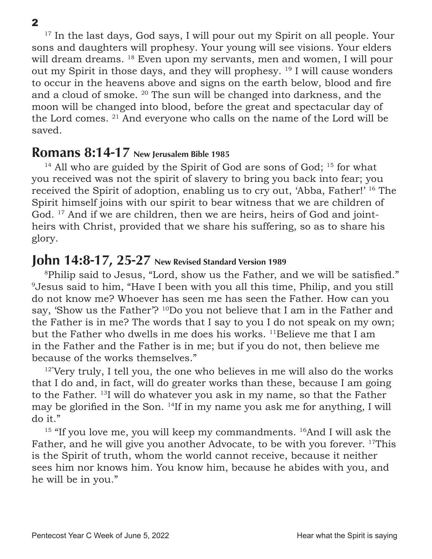<sup>17</sup> In the last days, God says, I will pour out my Spirit on all people. Your sons and daughters will prophesy. Your young will see visions. Your elders will dream dreams. <sup>18</sup> Even upon my servants, men and women, I will pour out my Spirit in those days, and they will prophesy. 19 I will cause wonders to occur in the heavens above and signs on the earth below, blood and fire and a cloud of smoke. 20 The sun will be changed into darkness, and the moon will be changed into blood, before the great and spectacular day of the Lord comes. 21 And everyone who calls on the name of the Lord will be saved.

## Romans 8:14-17 New Jerusalem Bible 1985

 $14$  All who are guided by the Spirit of God are sons of God;  $15$  for what you received was not the spirit of slavery to bring you back into fear; you received the Spirit of adoption, enabling us to cry out, 'Abba, Father!' 16 The Spirit himself joins with our spirit to bear witness that we are children of God. <sup>17</sup> And if we are children, then we are heirs, heirs of God and jointheirs with Christ, provided that we share his suffering, so as to share his glory.

## **John 14:8-17, 25-27** New Revised Standard Version 1989

<sup>8</sup>Philip said to Jesus, "Lord, show us the Father, and we will be satisfied." 9Jesus said to him, "Have I been with you all this time, Philip, and you still do not know me? Whoever has seen me has seen the Father. How can you say, 'Show us the Father'? <sup>10</sup>Do you not believe that I am in the Father and the Father is in me? The words that I say to you I do not speak on my own; but the Father who dwells in me does his works. 11Believe me that I am in the Father and the Father is in me; but if you do not, then believe me because of the works themselves."

 $12$ <sup>2</sup>Very truly, I tell you, the one who believes in me will also do the works that I do and, in fact, will do greater works than these, because I am going to the Father. 13I will do whatever you ask in my name, so that the Father may be glorified in the Son. 14If in my name you ask me for anything, I will do it."

<sup>15</sup> "If you love me, you will keep my commandments. <sup>16</sup>And I will ask the Father, and he will give you another Advocate, to be with you forever. <sup>17</sup>This is the Spirit of truth, whom the world cannot receive, because it neither sees him nor knows him. You know him, because he abides with you, and he will be in you."

<sup>2</sup>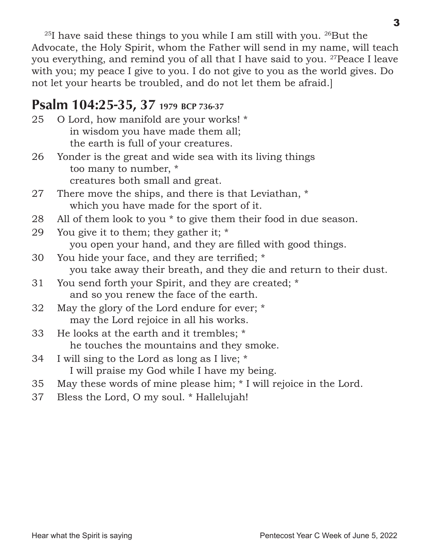<sup>25</sup>I have said these things to you while I am still with you.  $^{26}$ But the Advocate, the Holy Spirit, whom the Father will send in my name, will teach you everything, and remind you of all that I have said to you. 27Peace I leave with you; my peace I give to you. I do not give to you as the world gives. Do not let your hearts be troubled, and do not let them be afraid.]

## Psalm 104:25-35, 37 1979 BCP 736-37

| 25 | O Lord, how manifold are your works! *                             |
|----|--------------------------------------------------------------------|
|    | in wisdom you have made them all;                                  |
|    | the earth is full of your creatures.                               |
| 26 | Yonder is the great and wide sea with its living things            |
|    | too many to number, *                                              |
|    | creatures both small and great.                                    |
| 27 | There move the ships, and there is that Leviathan, *               |
|    | which you have made for the sport of it.                           |
| 28 | All of them look to you * to give them their food in due season.   |
| 29 | You give it to them; they gather it; *                             |
|    | you open your hand, and they are filled with good things.          |
| 30 | You hide your face, and they are terrified; *                      |
|    | you take away their breath, and they die and return to their dust. |
| 31 | You send forth your Spirit, and they are created; *                |
|    | and so you renew the face of the earth.                            |
| 32 | May the glory of the Lord endure for ever; *                       |
|    | may the Lord rejoice in all his works.                             |
| 33 | He looks at the earth and it trembles; *                           |
|    | he touches the mountains and they smoke.                           |
| 34 | I will sing to the Lord as long as I live; *                       |
|    | I will praise my God while I have my being.                        |
| 35 | May these words of mine please him; * I will rejoice in the Lord.  |
| 37 | Bless the Lord, O my soul. * Hallelujah!                           |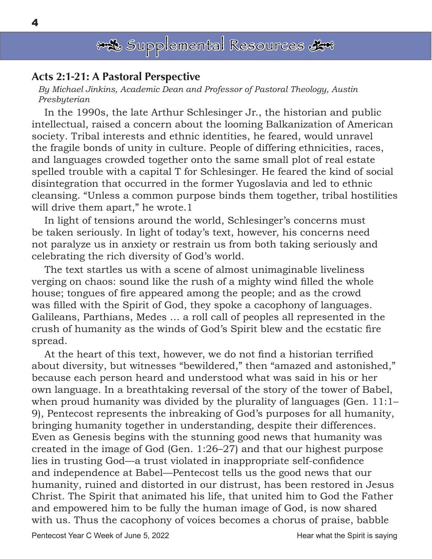

## Acts 2:1-21: A Pastoral Perspective

4

*By Michael Jinkins, Academic Dean and Professor of Pastoral Theology, Austin Presbyterian*

In the 1990s, the late Arthur Schlesinger Jr., the historian and public intellectual, raised a concern about the looming Balkanization of American society. Tribal interests and ethnic identities, he feared, would unravel the fragile bonds of unity in culture. People of differing ethnicities, races, and languages crowded together onto the same small plot of real estate spelled trouble with a capital T for Schlesinger. He feared the kind of social disintegration that occurred in the former Yugoslavia and led to ethnic cleansing. "Unless a common purpose binds them together, tribal hostilities will drive them apart," he wrote.1

In light of tensions around the world, Schlesinger's concerns must be taken seriously. In light of today's text, however, his concerns need not paralyze us in anxiety or restrain us from both taking seriously and celebrating the rich diversity of God's world.

The text startles us with a scene of almost unimaginable liveliness verging on chaos: sound like the rush of a mighty wind filled the whole house; tongues of fire appeared among the people; and as the crowd was filled with the Spirit of God, they spoke a cacophony of languages. Galileans, Parthians, Medes … a roll call of peoples all represented in the crush of humanity as the winds of God's Spirit blew and the ecstatic fire spread.

At the heart of this text, however, we do not find a historian terrified about diversity, but witnesses "bewildered," then "amazed and astonished," because each person heard and understood what was said in his or her own language. In a breathtaking reversal of the story of the tower of Babel, when proud humanity was divided by the plurality of languages (Gen. 11:1– 9), Pentecost represents the inbreaking of God's purposes for all humanity, bringing humanity together in understanding, despite their differences. Even as Genesis begins with the stunning good news that humanity was created in the image of God (Gen. 1:26–27) and that our highest purpose lies in trusting God—a trust violated in inappropriate self-confidence and independence at Babel—Pentecost tells us the good news that our humanity, ruined and distorted in our distrust, has been restored in Jesus Christ. The Spirit that animated his life, that united him to God the Father and empowered him to be fully the human image of God, is now shared with us. Thus the cacophony of voices becomes a chorus of praise, babble

Pentecost Year C Week of June 5, 2022 **Hear what the Spirit is saying**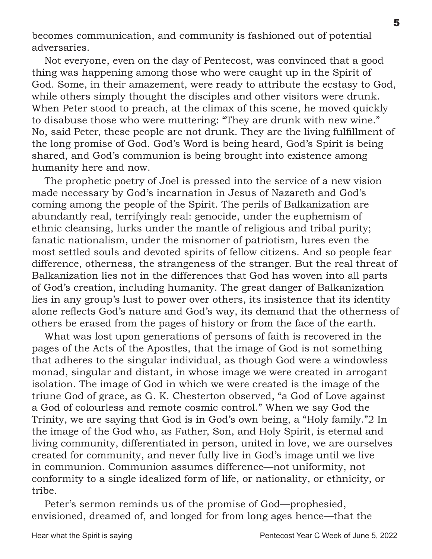becomes communication, and community is fashioned out of potential adversaries.

Not everyone, even on the day of Pentecost, was convinced that a good thing was happening among those who were caught up in the Spirit of God. Some, in their amazement, were ready to attribute the ecstasy to God, while others simply thought the disciples and other visitors were drunk. When Peter stood to preach, at the climax of this scene, he moved quickly to disabuse those who were muttering: "They are drunk with new wine." No, said Peter, these people are not drunk. They are the living fulfillment of the long promise of God. God's Word is being heard, God's Spirit is being shared, and God's communion is being brought into existence among humanity here and now.

The prophetic poetry of Joel is pressed into the service of a new vision made necessary by God's incarnation in Jesus of Nazareth and God's coming among the people of the Spirit. The perils of Balkanization are abundantly real, terrifyingly real: genocide, under the euphemism of ethnic cleansing, lurks under the mantle of religious and tribal purity; fanatic nationalism, under the misnomer of patriotism, lures even the most settled souls and devoted spirits of fellow citizens. And so people fear difference, otherness, the strangeness of the stranger. But the real threat of Balkanization lies not in the differences that God has woven into all parts of God's creation, including humanity. The great danger of Balkanization lies in any group's lust to power over others, its insistence that its identity alone reflects God's nature and God's way, its demand that the otherness of others be erased from the pages of history or from the face of the earth.

What was lost upon generations of persons of faith is recovered in the pages of the Acts of the Apostles, that the image of God is not something that adheres to the singular individual, as though God were a windowless monad, singular and distant, in whose image we were created in arrogant isolation. The image of God in which we were created is the image of the triune God of grace, as G. K. Chesterton observed, "a God of Love against a God of colourless and remote cosmic control." When we say God the Trinity, we are saying that God is in God's own being, a "Holy family."2 In the image of the God who, as Father, Son, and Holy Spirit, is eternal and living community, differentiated in person, united in love, we are ourselves created for community, and never fully live in God's image until we live in communion. Communion assumes difference—not uniformity, not conformity to a single idealized form of life, or nationality, or ethnicity, or tribe.

Peter's sermon reminds us of the promise of God—prophesied, envisioned, dreamed of, and longed for from long ages hence—that the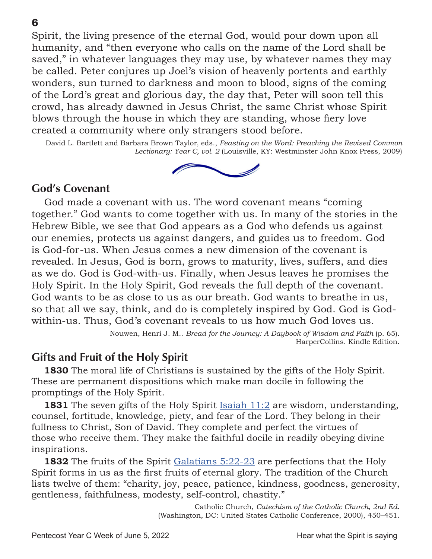Spirit, the living presence of the eternal God, would pour down upon all humanity, and "then everyone who calls on the name of the Lord shall be saved," in whatever languages they may use, by whatever names they may be called. Peter conjures up Joel's vision of heavenly portents and earthly wonders, sun turned to darkness and moon to blood, signs of the coming of the Lord's great and glorious day, the day that, Peter will soon tell this crowd, has already dawned in Jesus Christ, the same Christ whose Spirit blows through the house in which they are standing, whose fiery love created a community where only strangers stood before.

David L. Bartlett and Barbara Brown Taylor, eds., *Feasting on the Word: Preaching the Revised Common Lectionary: Year C, vol. 2* (Louisville, KY: Westminster John Knox Press, 2009)



## God's Covenant

God made a covenant with us. The word covenant means "coming together." God wants to come together with us. In many of the stories in the Hebrew Bible, we see that God appears as a God who defends us against our enemies, protects us against dangers, and guides us to freedom. God is God-for-us. When Jesus comes a new dimension of the covenant is revealed. In Jesus, God is born, grows to maturity, lives, suffers, and dies as we do. God is God-with-us. Finally, when Jesus leaves he promises the Holy Spirit. In the Holy Spirit, God reveals the full depth of the covenant. God wants to be as close to us as our breath. God wants to breathe in us, so that all we say, think, and do is completely inspired by God. God is Godwithin-us. Thus, God's covenant reveals to us how much God loves us.

> Nouwen, Henri J. M.. *Bread for the Journey: A Daybook of Wisdom and Faith* (p. 65). HarperCollins. Kindle Edition.

## Gifts and Fruit of the Holy Spirit

**1830** The moral life of Christians is sustained by the gifts of the Holy Spirit. These are permanent dispositions which make man docile in following the promptings of the Holy Spirit.

**1831** The seven gifts of the Holy Spirit [Isaiah 11:2](https://www.biblegateway.com/passage/?search=is%2011%3A2&version=NRSV,NABRE,NIV) are wisdom, understanding, counsel, fortitude, knowledge, piety, and fear of the Lord. They belong in their fullness to Christ, Son of David. They complete and perfect the virtues of those who receive them. They make the faithful docile in readily obeying divine inspirations.

**1832** The fruits of the Spirit [Galatians 5:22-23](https://www.biblegateway.com/passage/?search=gal+5%3A22-23&version=NRSV;NABRE;NIV) are perfections that the Holy Spirit forms in us as the first fruits of eternal glory. The tradition of the Church lists twelve of them: "charity, joy, peace, patience, kindness, goodness, generosity, gentleness, faithfulness, modesty, self-control, chastity."

> Catholic Church, *Catechism of the Catholic Church, 2nd Ed*. (Washington, DC: United States Catholic Conference, 2000), 450–451.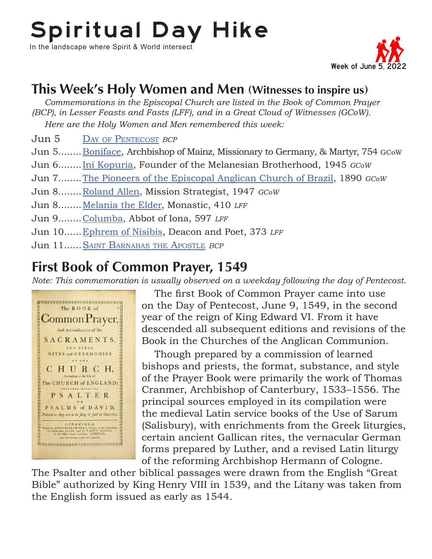# Spiritual Day Hike

In the landscape where Spirit & World intersect



## This Week's Holy Women and Men (Witnesses to inspire us)

*Commemorations in the Episcopal Church are listed in the Book of Common Prayer (BCP), in Lesser Feasts and Fasts (LFF), and in a Great Cloud of Witnesses (GCoW). Here are the Holy Women and Men remembered this week:*

- Jun 5 Day [of Pentecost](http://edgeofenclosure.org/pentecostabc.html) *BCP*
- Jun 5.......[Boniface,](https://holywomenholymen.wordpress.com/2016/06/05/jun-5-boniface/) Archbishop of Mainz, Missionary to Germany, & Martyr, 754 GCoW
- Jun 6........[Ini Kopuria,](https://holywomenholymen.wordpress.com/2016/06/06/june-6-ini-kopuria/) Founder of the Melanesian Brotherhood, 1945 *GCoW*
- Jun 7........[The Pioneers of the Episcopal Anglican Church of Brazil](https://standingcommissiononliturgyandmusic.org/?s=pioneers), 1890 *GCoW*
- Jun 8........[Roland Allen,](https://holywomenholymen.wordpress.com/2016/06/08/jun-8-roland-allen/) Mission Strategist, 1947 *GCoW*
- Jun 8........ [Melania the Elder,](https://en.wikipedia.org/wiki/Melania_the_Elder) Monastic, 410 LFF
- Jun 9........[Columba](https://holywomenholymen.wordpress.com/2016/06/09/jun-9-columba/), Abbot of Iona, 597 LFF
- Jun 10...... [Ephrem of Nisibis](https://holywomenholymen.wordpress.com/2016/06/10/jun-10-ephrem-of-edessa/), Deacon and Poet, 373 LFF
- Jun 11...... SAINT BARNABAS THE APOSTLE *BCP*

## First Book of Common Prayer, 1549

*Note: This commemoration is usually observed on a weekday following the day of Pentecost.*



The first Book of Common Prayer came into use on the Day of Pentecost, June 9, 1549, in the second year of the reign of King Edward VI. From it have descended all subsequent editions and revisions of the Book in the Churches of the Anglican Communion.

Though prepared by a commission of learned bishops and priests, the format, substance, and style of the Prayer Book were primarily the work of Thomas Cranmer, Archbishop of Canterbury, 1533–1556. The principal sources employed in its compilation were the medieval Latin service books of the Use of Sarum (Salisbury), with enrichments from the Greek liturgies, certain ancient Gallican rites, the vernacular German forms prepared by Luther, and a revised Latin liturgy of the reforming Archbishop Hermann of Cologne.

The Psalter and other biblical passages were drawn from the English "Great Bible" authorized by King Henry VIII in 1539, and the Litany was taken from the English form issued as early as 1544.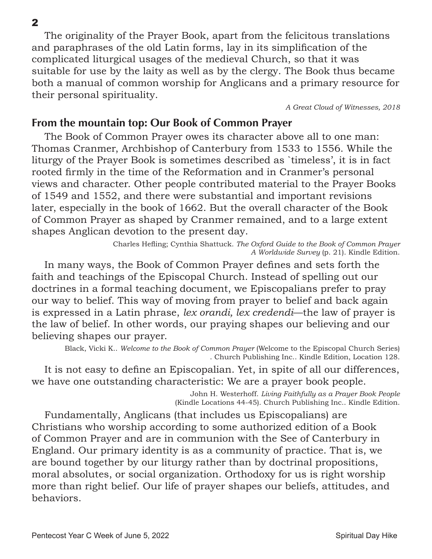The originality of the Prayer Book, apart from the felicitous translations and paraphrases of the old Latin forms, lay in its simplification of the complicated liturgical usages of the medieval Church, so that it was suitable for use by the laity as well as by the clergy. The Book thus became both a manual of common worship for Anglicans and a primary resource for their personal spirituality.

*A Great Cloud of Witnesses, 2018*

## From the mountain top: Our Book of Common Prayer

The Book of Common Prayer owes its character above all to one man: Thomas Cranmer, Archbishop of Canterbury from 1533 to 1556. While the liturgy of the Prayer Book is sometimes described as `timeless', it is in fact rooted firmly in the time of the Reformation and in Cranmer's personal views and character. Other people contributed material to the Prayer Books of 1549 and 1552, and there were substantial and important revisions later, especially in the book of 1662. But the overall character of the Book of Common Prayer as shaped by Cranmer remained, and to a large extent shapes Anglican devotion to the present day.

> Charles Hefling; Cynthia Shattuck. *The Oxford Guide to the Book of Common Prayer A Worldwide Survey* (p. 21). Kindle Edition.

In many ways, the Book of Common Prayer defines and sets forth the faith and teachings of the Episcopal Church. Instead of spelling out our doctrines in a formal teaching document, we Episcopalians prefer to pray our way to belief. This way of moving from prayer to belief and back again is expressed in a Latin phrase, *lex orandi, lex credendi*—the law of prayer is the law of belief. In other words, our praying shapes our believing and our believing shapes our prayer.

Black, Vicki K.. *Welcome to the Book of Common Prayer* (Welcome to the Episcopal Church Series) . Church Publishing Inc.. Kindle Edition, Location 128.

It is not easy to define an Episcopalian. Yet, in spite of all our differences, we have one outstanding characteristic: We are a prayer book people.

> John H. Westerhoff. *Living Faithfully as a Prayer Book People* (Kindle Locations 44-45). Church Publishing Inc.. Kindle Edition.

Fundamentally, Anglicans (that includes us Episcopalians) are Christians who worship according to some authorized edition of a Book of Common Prayer and are in communion with the See of Canterbury in England. Our primary identity is as a community of practice. That is, we are bound together by our liturgy rather than by doctrinal propositions, moral absolutes, or social organization. Orthodoxy for us is right worship more than right belief. Our life of prayer shapes our beliefs, attitudes, and behaviors.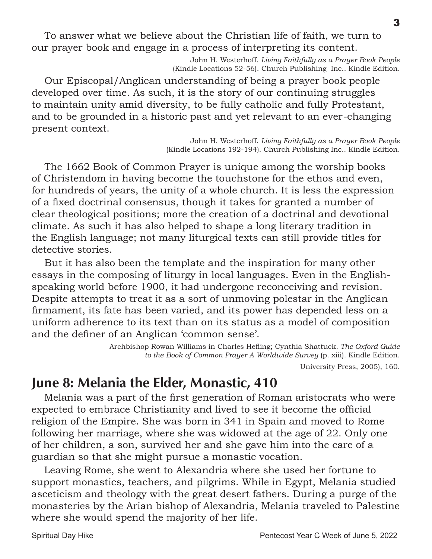To answer what we believe about the Christian life of faith, we turn to our prayer book and engage in a process of interpreting its content.

> John H. Westerhoff. *Living Faithfully as a Prayer Book People*  (Kindle Locations 52-56). Church Publishing Inc.. Kindle Edition.

Our Episcopal/Anglican understanding of being a prayer book people developed over time. As such, it is the story of our continuing struggles to maintain unity amid diversity, to be fully catholic and fully Protestant, and to be grounded in a historic past and yet relevant to an ever-changing present context.

> John H. Westerhoff. *Living Faithfully as a Prayer Book People*  (Kindle Locations 192-194). Church Publishing Inc.. Kindle Edition.

The 1662 Book of Common Prayer is unique among the worship books of Christendom in having become the touchstone for the ethos and even, for hundreds of years, the unity of a whole church. It is less the expression of a fixed doctrinal consensus, though it takes for granted a number of clear theological positions; more the creation of a doctrinal and devotional climate. As such it has also helped to shape a long literary tradition in the English language; not many liturgical texts can still provide titles for detective stories.

But it has also been the template and the inspiration for many other essays in the composing of liturgy in local languages. Even in the Englishspeaking world before 1900, it had undergone reconceiving and revision. Despite attempts to treat it as a sort of unmoving polestar in the Anglican firmament, its fate has been varied, and its power has depended less on a uniform adherence to its text than on its status as a model of composition and the definer of an Anglican 'common sense'.

> Archbishop Rowan Williams in Charles Hefling; Cynthia Shattuck. *The Oxford Guide to the Book of Common Prayer A Worldwide Survey* (p. xiii). Kindle Edition. University Press, 2005), 160.

## June 8: Melania the Elder, Monastic, 410

Melania was a part of the first generation of Roman aristocrats who were expected to embrace Christianity and lived to see it become the official religion of the Empire. She was born in 341 in Spain and moved to Rome following her marriage, where she was widowed at the age of 22. Only one of her children, a son, survived her and she gave him into the care of a guardian so that she might pursue a monastic vocation.

Leaving Rome, she went to Alexandria where she used her fortune to support monastics, teachers, and pilgrims. While in Egypt, Melania studied asceticism and theology with the great desert fathers. During a purge of the monasteries by the Arian bishop of Alexandria, Melania traveled to Palestine where she would spend the majority of her life.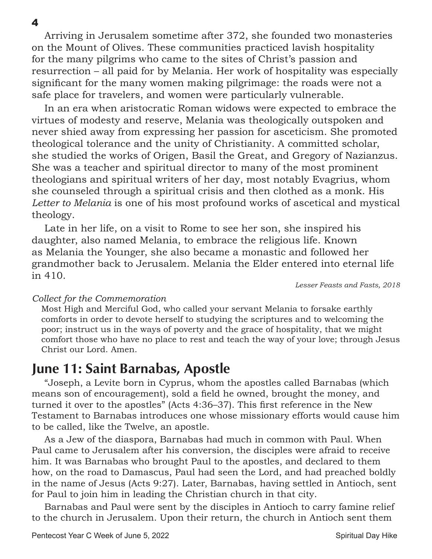Arriving in Jerusalem sometime after 372, she founded two monasteries on the Mount of Olives. These communities practiced lavish hospitality for the many pilgrims who came to the sites of Christ's passion and resurrection – all paid for by Melania. Her work of hospitality was especially significant for the many women making pilgrimage: the roads were not a safe place for travelers, and women were particularly vulnerable.

In an era when aristocratic Roman widows were expected to embrace the virtues of modesty and reserve, Melania was theologically outspoken and never shied away from expressing her passion for asceticism. She promoted theological tolerance and the unity of Christianity. A committed scholar, she studied the works of Origen, Basil the Great, and Gregory of Nazianzus. She was a teacher and spiritual director to many of the most prominent theologians and spiritual writers of her day, most notably Evagrius, whom she counseled through a spiritual crisis and then clothed as a monk. His *Letter to Melania* is one of his most profound works of ascetical and mystical theology.

Late in her life, on a visit to Rome to see her son, she inspired his daughter, also named Melania, to embrace the religious life. Known as Melania the Younger, she also became a monastic and followed her grandmother back to Jerusalem. Melania the Elder entered into eternal life in 410.

*Lesser Feasts and Fasts, 2018*

#### *Collect for the Commemoration*

Most High and Merciful God, who called your servant Melania to forsake earthly comforts in order to devote herself to studying the scriptures and to welcoming the poor; instruct us in the ways of poverty and the grace of hospitality, that we might comfort those who have no place to rest and teach the way of your love; through Jesus Christ our Lord. Amen.

## June 11: Saint Barnabas, Apostle

"Joseph, a Levite born in Cyprus, whom the apostles called Barnabas (which means son of encouragement), sold a field he owned, brought the money, and turned it over to the apostles" (Acts 4:36–37). This first reference in the New Testament to Barnabas introduces one whose missionary efforts would cause him to be called, like the Twelve, an apostle.

As a Jew of the diaspora, Barnabas had much in common with Paul. When Paul came to Jerusalem after his conversion, the disciples were afraid to receive him. It was Barnabas who brought Paul to the apostles, and declared to them how, on the road to Damascus, Paul had seen the Lord, and had preached boldly in the name of Jesus (Acts 9:27). Later, Barnabas, having settled in Antioch, sent for Paul to join him in leading the Christian church in that city.

Barnabas and Paul were sent by the disciples in Antioch to carry famine relief to the church in Jerusalem. Upon their return, the church in Antioch sent them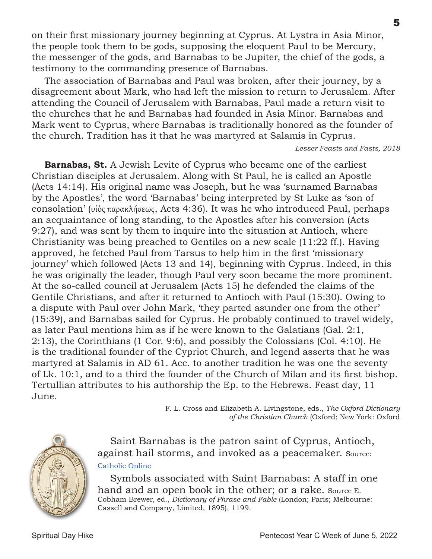on their first missionary journey beginning at Cyprus. At Lystra in Asia Minor, the people took them to be gods, supposing the eloquent Paul to be Mercury, the messenger of the gods, and Barnabas to be Jupiter, the chief of the gods, a testimony to the commanding presence of Barnabas.

The association of Barnabas and Paul was broken, after their journey, by a disagreement about Mark, who had left the mission to return to Jerusalem. After attending the Council of Jerusalem with Barnabas, Paul made a return visit to the churches that he and Barnabas had founded in Asia Minor. Barnabas and Mark went to Cyprus, where Barnabas is traditionally honored as the founder of the church. Tradition has it that he was martyred at Salamis in Cyprus.

*Lesser Feasts and Fasts, 2018*

**Barnabas, St.** A Jewish Levite of Cyprus who became one of the earliest Christian disciples at Jerusalem. Along with St Paul, he is called an Apostle (Acts 14:14). His original name was Joseph, but he was 'surnamed Barnabas by the Apostles', the word 'Barnabas' being interpreted by St Luke as 'son of consolation' (υἱὸς παρακλήσεως, Acts 4:36). It was he who introduced Paul, perhaps an acquaintance of long standing, to the Apostles after his conversion (Acts 9:27), and was sent by them to inquire into the situation at Antioch, where Christianity was being preached to Gentiles on a new scale (11:22 ff.). Having approved, he fetched Paul from Tarsus to help him in the first 'missionary journey' which followed (Acts 13 and 14), beginning with Cyprus. Indeed, in this he was originally the leader, though Paul very soon became the more prominent. At the so-called council at Jerusalem (Acts 15) he defended the claims of the Gentile Christians, and after it returned to Antioch with Paul (15:30). Owing to a dispute with Paul over John Mark, 'they parted asunder one from the other' (15:39), and Barnabas sailed for Cyprus. He probably continued to travel widely, as later Paul mentions him as if he were known to the Galatians (Gal. 2:1, 2:13), the Corinthians (1 Cor. 9:6), and possibly the Colossians (Col. 4:10). He is the traditional founder of the Cypriot Church, and legend asserts that he was martyred at Salamis in AD 61. Acc. to another tradition he was one the seventy of Lk. 10:1, and to a third the founder of the Church of Milan and its first bishop. Tertullian attributes to his authorship the Ep. to the Hebrews. Feast day, 11 June.

> F. L. Cross and Elizabeth A. Livingstone, eds., *The Oxford Dictionary of the Christian Church* (Oxford; New York: Oxford



Saint Barnabas is the patron saint of Cyprus, Antioch, against hail storms, and invoked as a peacemaker. Source: [Catholic Online](https://www.catholic.org/saints/saint.php?saint_id=211)

Symbols associated with Saint Barnabas: A staff in one hand and an open book in the other; or a rake. Source E. Cobham Brewer, ed., *Dictionary of Phrase and Fable* (London; Paris; Melbourne: Cassell and Company, Limited, 1895), 1199.